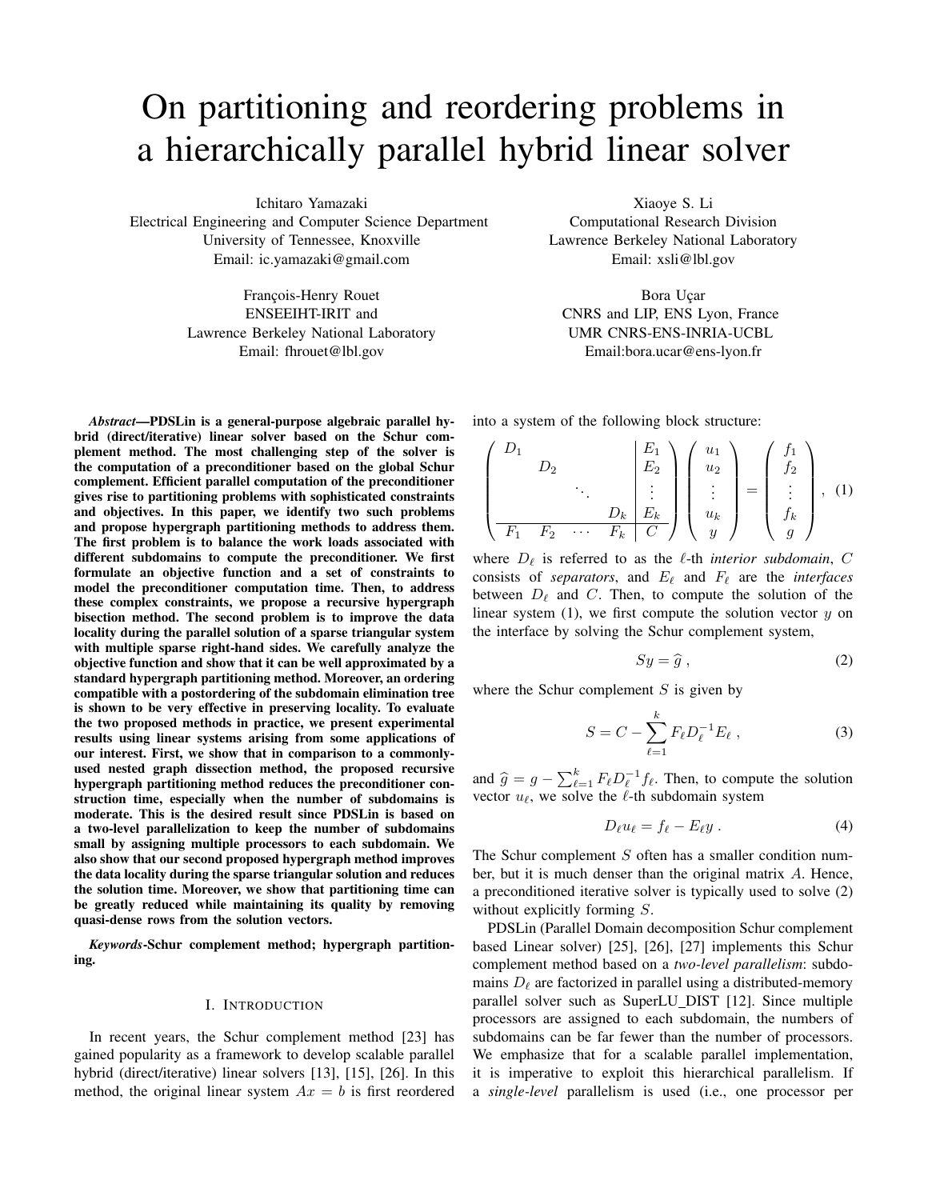# On partitioning and reordering problems in a hierarchically parallel hybrid linear solver

Ichitaro Yamazaki

Electrical Engineering and Computer Science Department University of Tennessee, Knoxville Email: ic.yamazaki@gmail.com

> François-Henry Rouet ENSEEIHT-IRIT and Lawrence Berkeley National Laboratory Email: fhrouet@lbl.gov

*Abstract*—PDSLin is a general-purpose algebraic parallel hybrid (direct/iterative) linear solver based on the Schur complement method. The most challenging step of the solver is the computation of a preconditioner based on the global Schur complement. Efficient parallel computation of the preconditioner gives rise to partitioning problems with sophisticated constraints and objectives. In this paper, we identify two such problems and propose hypergraph partitioning methods to address them. The first problem is to balance the work loads associated with different subdomains to compute the preconditioner. We first formulate an objective function and a set of constraints to model the preconditioner computation time. Then, to address these complex constraints, we propose a recursive hypergraph bisection method. The second problem is to improve the data locality during the parallel solution of a sparse triangular system with multiple sparse right-hand sides. We carefully analyze the objective function and show that it can be well approximated by a standard hypergraph partitioning method. Moreover, an ordering compatible with a postordering of the subdomain elimination tree is shown to be very effective in preserving locality. To evaluate the two proposed methods in practice, we present experimental results using linear systems arising from some applications of our interest. First, we show that in comparison to a commonlyused nested graph dissection method, the proposed recursive hypergraph partitioning method reduces the preconditioner construction time, especially when the number of subdomains is moderate. This is the desired result since PDSLin is based on a two-level parallelization to keep the number of subdomains small by assigning multiple processors to each subdomain. We also show that our second proposed hypergraph method improves the data locality during the sparse triangular solution and reduces the solution time. Moreover, we show that partitioning time can be greatly reduced while maintaining its quality by removing quasi-dense rows from the solution vectors.

*Keywords*-Schur complement method; hypergraph partitioning.

#### I. INTRODUCTION

In recent years, the Schur complement method [23] has gained popularity as a framework to develop scalable parallel hybrid (direct/iterative) linear solvers [13], [15], [26]. In this method, the original linear system  $Ax = b$  is first reordered Xiaoye S. Li

Computational Research Division Lawrence Berkeley National Laboratory Email: xsli@lbl.gov

Bora Uçar CNRS and LIP, ENS Lyon, France UMR CNRS-ENS-INRIA-UCBL Email:bora.ucar@ens-lyon.fr

into a system of the following block structure:

$$
\begin{pmatrix}\nD_1 & & & E_1 \\
D_2 & & & \vdots \\
\vdots & & & \vdots \\
D_k & E_k & & \vdots \\
\hline\nF_1 & F_2 & \cdots & F_k & C\n\end{pmatrix}\n\begin{pmatrix}\nu_1 \\
u_2 \\
\vdots \\
u_k \\
y\n\end{pmatrix}\n=\n\begin{pmatrix}\nf_1 \\
f_2 \\
\vdots \\
f_k \\
g\n\end{pmatrix},\n\tag{1}
$$

where  $D_{\ell}$  is referred to as the  $\ell$ -th *interior subdomain*, C consists of *separators*, and  $E_\ell$  and  $F_\ell$  are the *interfaces* between  $D_\ell$  and C. Then, to compute the solution of the linear system  $(1)$ , we first compute the solution vector y on the interface by solving the Schur complement system,

$$
Sy = \hat{g},\tag{2}
$$

where the Schur complement  $S$  is given by

$$
S = C - \sum_{\ell=1}^{k} F_{\ell} D_{\ell}^{-1} E_{\ell} , \qquad (3)
$$

and  $\hat{g} = g - \sum_{\ell=1}^{k} F_{\ell} D_{\ell}^{-1} f_{\ell}$ . Then, to compute the solution vector  $u_\ell$ , we solve the  $\ell$ -th subdomain system

$$
D_{\ell}u_{\ell}=f_{\ell}-E_{\ell}y\ . \qquad \qquad (4)
$$

The Schur complement S often has a smaller condition number, but it is much denser than the original matrix A. Hence, a preconditioned iterative solver is typically used to solve (2) without explicitly forming S.

PDSLin (Parallel Domain decomposition Schur complement based Linear solver) [25], [26], [27] implements this Schur complement method based on a *two-level parallelism*: subdomains  $D_\ell$  are factorized in parallel using a distributed-memory parallel solver such as SuperLU DIST [12]. Since multiple processors are assigned to each subdomain, the numbers of subdomains can be far fewer than the number of processors. We emphasize that for a scalable parallel implementation, it is imperative to exploit this hierarchical parallelism. If a *single-level* parallelism is used (i.e., one processor per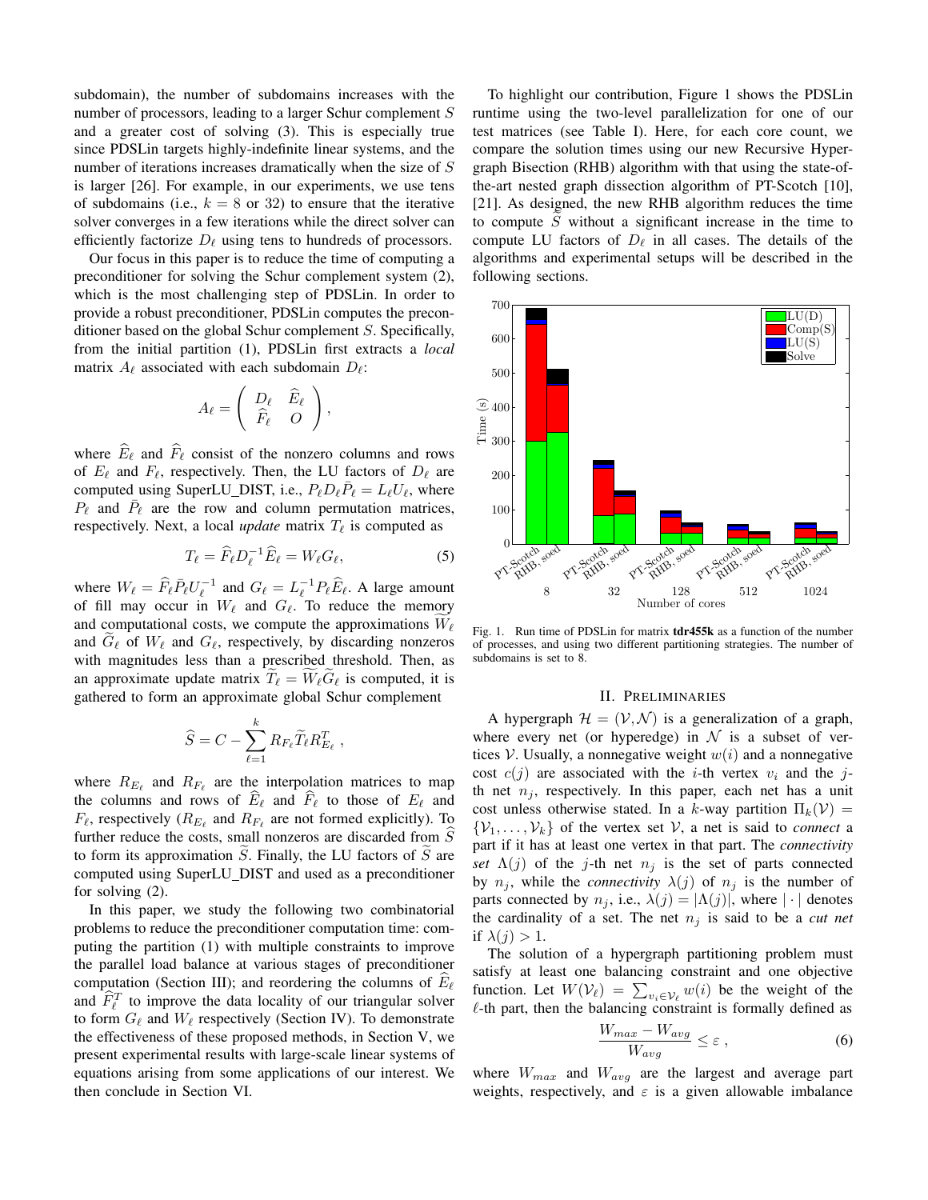subdomain), the number of subdomains increases with the number of processors, leading to a larger Schur complement S and a greater cost of solving (3). This is especially true since PDSLin targets highly-indefinite linear systems, and the number of iterations increases dramatically when the size of S is larger [26]. For example, in our experiments, we use tens of subdomains (i.e.,  $k = 8$  or 32) to ensure that the iterative solver converges in a few iterations while the direct solver can efficiently factorize  $D_\ell$  using tens to hundreds of processors.

Our focus in this paper is to reduce the time of computing a preconditioner for solving the Schur complement system (2), which is the most challenging step of PDSLin. In order to provide a robust preconditioner, PDSLin computes the preconditioner based on the global Schur complement S. Specifically, from the initial partition (1), PDSLin first extracts a *local* matrix  $A_\ell$  associated with each subdomain  $D_\ell$ :

$$
A_{\ell} = \left( \begin{array}{cc} D_{\ell} & \widehat{E}_{\ell} \\ \widehat{F}_{\ell} & O \end{array} \right),
$$

where  $\widehat{E}_{\ell}$  and  $\widehat{F}_{\ell}$  consist of the nonzero columns and rows of  $E_\ell$  and  $F_\ell$ , respectively. Then, the LU factors of  $D_\ell$  are computed using SuperLU\_DIST, i.e.,  $P_{\ell} D_{\ell} \overline{P}_{\ell} = L_{\ell} U_{\ell}$ , where  $P_{\ell}$  and  $\bar{P}_{\ell}$  are the row and column permutation matrices, respectively. Next, a local *update* matrix  $T_{\ell}$  is computed as

$$
T_{\ell} = \widehat{F}_{\ell} D_{\ell}^{-1} \widehat{E}_{\ell} = W_{\ell} G_{\ell},\tag{5}
$$

where  $W_{\ell} = \widehat{F}_{\ell} \overline{P}_{\ell} U_{\ell}^{-1}$  and  $G_{\ell} = L_{\ell}^{-1} P_{\ell} \widehat{E}_{\ell}$ . A large amount of fill may occur in  $W_\ell$  and  $G_\ell$ . To reduce the memory and computational costs, we compute the approximations  $W_\ell$ and  $G_\ell$  of  $W_\ell$  and  $G_\ell$ , respectively, by discarding nonzeros with magnitudes less than a prescribed threshold. Then, as an approximate update matrix  $T_{\ell} = W_{\ell} \tilde{G}_{\ell}$  is computed, it is gathered to form an approximate global Schur complement

$$
\widehat{S} = C - \sum_{\ell=1}^k R_{F_\ell} \widetilde{T}_\ell R_{E_\ell}^T,
$$

where  $R_{E_\ell}$  and  $R_{F_\ell}$  are the interpolation matrices to map the columns and rows of  $\widehat{E}_\ell$  and  $\widehat{F}_\ell$  to those of  $E_\ell$  and  $F_{\ell}$ , respectively ( $R_{E_{\ell}}$  and  $R_{F_{\ell}}$  are not formed explicitly). To further reduce the costs, small nonzeros are discarded from  $\widehat{S}$ to form its approximation  $S$ . Finally, the LU factors of  $S$  are computed using SuperLU DIST and used as a preconditioner for solving (2).

In this paper, we study the following two combinatorial problems to reduce the preconditioner computation time: computing the partition (1) with multiple constraints to improve the parallel load balance at various stages of preconditioner computation (Section III); and reordering the columns of  $E_\ell$ and  $\hat{F}_{\ell}^T$  to improve the data locality of our triangular solver to form  $G_\ell$  and  $W_\ell$  respectively (Section IV). To demonstrate the effectiveness of these proposed methods, in Section V, we present experimental results with large-scale linear systems of equations arising from some applications of our interest. We then conclude in Section VI.

To highlight our contribution, Figure 1 shows the PDSLin runtime using the two-level parallelization for one of our test matrices (see Table I). Here, for each core count, we compare the solution times using our new Recursive Hypergraph Bisection (RHB) algorithm with that using the state-ofthe-art nested graph dissection algorithm of PT-Scotch [10], [21]. As designed, the new RHB algorithm reduces the time to compute  $S$  without a significant increase in the time to compute LU factors of  $D_\ell$  in all cases. The details of the algorithms and experimental setups will be described in the following sections.



Fig. 1. Run time of PDSLin for matrix tdr455k as a function of the number of processes, and using two different partitioning strategies. The number of subdomains is set to 8.

## II. PRELIMINARIES

A hypergraph  $\mathcal{H} = (\mathcal{V}, \mathcal{N})$  is a generalization of a graph, where every net (or hyperedge) in  $\mathcal N$  is a subset of vertices V. Usually, a nonnegative weight  $w(i)$  and a nonnegative cost  $c(j)$  are associated with the *i*-th vertex  $v_i$  and the *j*th net  $n_i$ , respectively. In this paper, each net has a unit cost unless otherwise stated. In a k-way partition  $\Pi_k(\mathcal{V}) =$  $\{V_1, \ldots, V_k\}$  of the vertex set V, a net is said to *connect* a part if it has at least one vertex in that part. The *connectivity set*  $\Lambda(j)$  of the j-th net  $n_j$  is the set of parts connected by  $n_j$ , while the *connectivity*  $\lambda(j)$  of  $n_j$  is the number of parts connected by  $n_j$ , i.e.,  $\lambda(j) = |\Lambda(j)|$ , where  $|\cdot|$  denotes the cardinality of a set. The net  $n_i$  is said to be a *cut net* if  $\lambda(i) > 1$ .

The solution of a hypergraph partitioning problem must satisfy at least one balancing constraint and one objective function. Let  $W(\mathcal{V}_{\ell}) = \sum_{v_i \in \mathcal{V}_{\ell}} w(i)$  be the weight of the  $\ell$ -th part, then the balancing constraint is formally defined as

$$
\frac{W_{max} - W_{avg}}{W_{avg}} \le \varepsilon \,, \tag{6}
$$

where  $W_{max}$  and  $W_{avg}$  are the largest and average part weights, respectively, and  $\varepsilon$  is a given allowable imbalance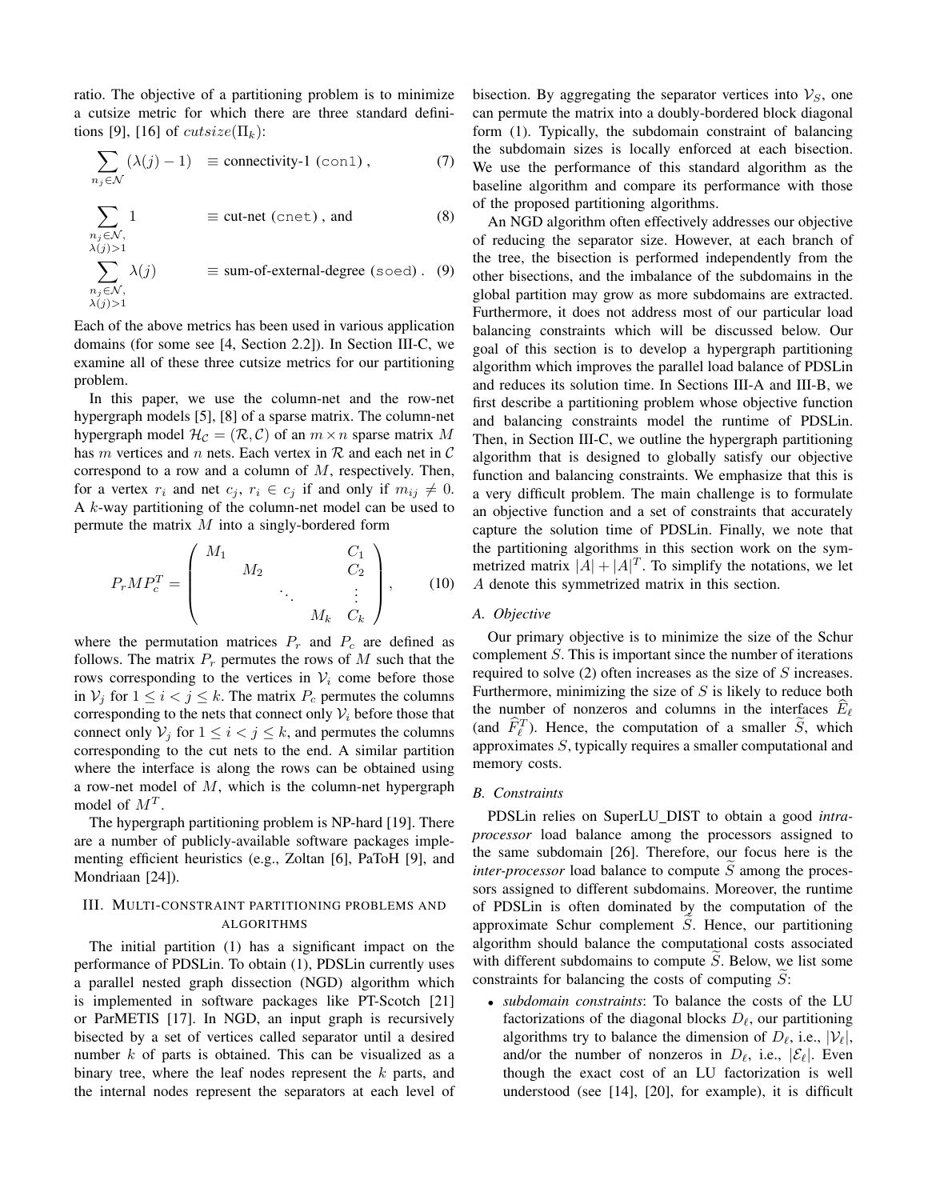ratio. The objective of a partitioning problem is to minimize a cutsize metric for which there are three standard definitions [9], [16] of  $cutsize(\Pi_k)$ :

$$
\sum_{n_j \in \mathcal{N}} (\lambda(j) - 1) \equiv \text{connectivity-1 (con1),} \tag{7}
$$

$$
\sum_{\substack{n_j \in \mathcal{N}, \\ \lambda(j) > 1}} 1 \qquad \qquad \equiv \text{cut-net (cent), and} \tag{8}
$$

$$
\sum_{\substack{n_j \in \mathcal{N}, \\ \lambda(j) > 1}} \lambda(j) \qquad \equiv \text{sum-of-external-degree (soed)} \tag{9}
$$

Each of the above metrics has been used in various application domains (for some see [4, Section 2.2]). In Section III-C, we examine all of these three cutsize metrics for our partitioning problem.

In this paper, we use the column-net and the row-net hypergraph models [5], [8] of a sparse matrix. The column-net hypergraph model  $\mathcal{H}_{\mathcal{C}} = (\mathcal{R}, \mathcal{C})$  of an  $m \times n$  sparse matrix M has m vertices and n nets. Each vertex in  $R$  and each net in  $C$ correspond to a row and a column of M, respectively. Then, for a vertex  $r_i$  and net  $c_j$ ,  $r_i \in c_j$  if and only if  $m_{ij} \neq 0$ . A k-way partitioning of the column-net model can be used to permute the matrix  $M$  into a singly-bordered form

$$
P_r M P_c^T = \begin{pmatrix} M_1 & & & & C_1 \\ & M_2 & & & C_2 \\ & & \ddots & & \vdots \\ & & & M_k & C_k \end{pmatrix}, \qquad (10)
$$

where the permutation matrices  $P_r$  and  $P_c$  are defined as follows. The matrix  $P_r$  permutes the rows of M such that the rows corresponding to the vertices in  $V_i$  come before those in  $V_j$  for  $1 \le i < j \le k$ . The matrix  $P_c$  permutes the columns corresponding to the nets that connect only  $V_i$  before those that connect only  $V_j$  for  $1 \le i < j \le k$ , and permutes the columns corresponding to the cut nets to the end. A similar partition where the interface is along the rows can be obtained using a row-net model of  $M$ , which is the column-net hypergraph model of  $M^T$ .

The hypergraph partitioning problem is NP-hard [19]. There are a number of publicly-available software packages implementing efficient heuristics (e.g., Zoltan [6], PaToH [9], and Mondriaan [24]).

## III. MULTI-CONSTRAINT PARTITIONING PROBLEMS AND ALGORITHMS

The initial partition (1) has a significant impact on the performance of PDSLin. To obtain (1), PDSLin currently uses a parallel nested graph dissection (NGD) algorithm which is implemented in software packages like PT-Scotch [21] or ParMETIS [17]. In NGD, an input graph is recursively bisected by a set of vertices called separator until a desired number k of parts is obtained. This can be visualized as a binary tree, where the leaf nodes represent the  $k$  parts, and the internal nodes represent the separators at each level of bisection. By aggregating the separator vertices into  $\mathcal{V}_S$ , one can permute the matrix into a doubly-bordered block diagonal form (1). Typically, the subdomain constraint of balancing the subdomain sizes is locally enforced at each bisection. We use the performance of this standard algorithm as the baseline algorithm and compare its performance with those of the proposed partitioning algorithms.

An NGD algorithm often effectively addresses our objective of reducing the separator size. However, at each branch of the tree, the bisection is performed independently from the other bisections, and the imbalance of the subdomains in the global partition may grow as more subdomains are extracted. Furthermore, it does not address most of our particular load balancing constraints which will be discussed below. Our goal of this section is to develop a hypergraph partitioning algorithm which improves the parallel load balance of PDSLin and reduces its solution time. In Sections III-A and III-B, we first describe a partitioning problem whose objective function and balancing constraints model the runtime of PDSLin. Then, in Section III-C, we outline the hypergraph partitioning algorithm that is designed to globally satisfy our objective function and balancing constraints. We emphasize that this is a very difficult problem. The main challenge is to formulate an objective function and a set of constraints that accurately capture the solution time of PDSLin. Finally, we note that the partitioning algorithms in this section work on the symmetrized matrix  $|A| + |A|^T$ . To simplify the notations, we let A denote this symmetrized matrix in this section.

## *A. Objective*

Our primary objective is to minimize the size of the Schur complement S. This is important since the number of iterations required to solve (2) often increases as the size of S increases. Furthermore, minimizing the size of  $S$  is likely to reduce both the number of nonzeros and columns in the interfaces  $E_\ell$ (and  $\hat{F}_{\ell}^T$ ). Hence, the computation of a smaller  $\tilde{S}$ , which approximates S, typically requires a smaller computational and memory costs.

## *B. Constraints*

PDSLin relies on SuperLU DIST to obtain a good *intraprocessor* load balance among the processors assigned to the same subdomain [26]. Therefore, our focus here is the  $inter-processor$  load balance to compute  $S$  among the processors assigned to different subdomains. Moreover, the runtime of PDSLin is often dominated by the computation of the approximate Schur complement  $S$ . Hence, our partitioning algorithm should balance the computational costs associated with different subdomains to compute  $S$ . Below, we list some constraints for balancing the costs of computing  $S$ :

• *subdomain constraints*: To balance the costs of the LU factorizations of the diagonal blocks  $D_{\ell}$ , our partitioning algorithms try to balance the dimension of  $D_{\ell}$ , i.e.,  $|\mathcal{V}_{\ell}|$ , and/or the number of nonzeros in  $D_{\ell}$ , i.e.,  $|\mathcal{E}_{\ell}|$ . Even though the exact cost of an LU factorization is well understood (see [14], [20], for example), it is difficult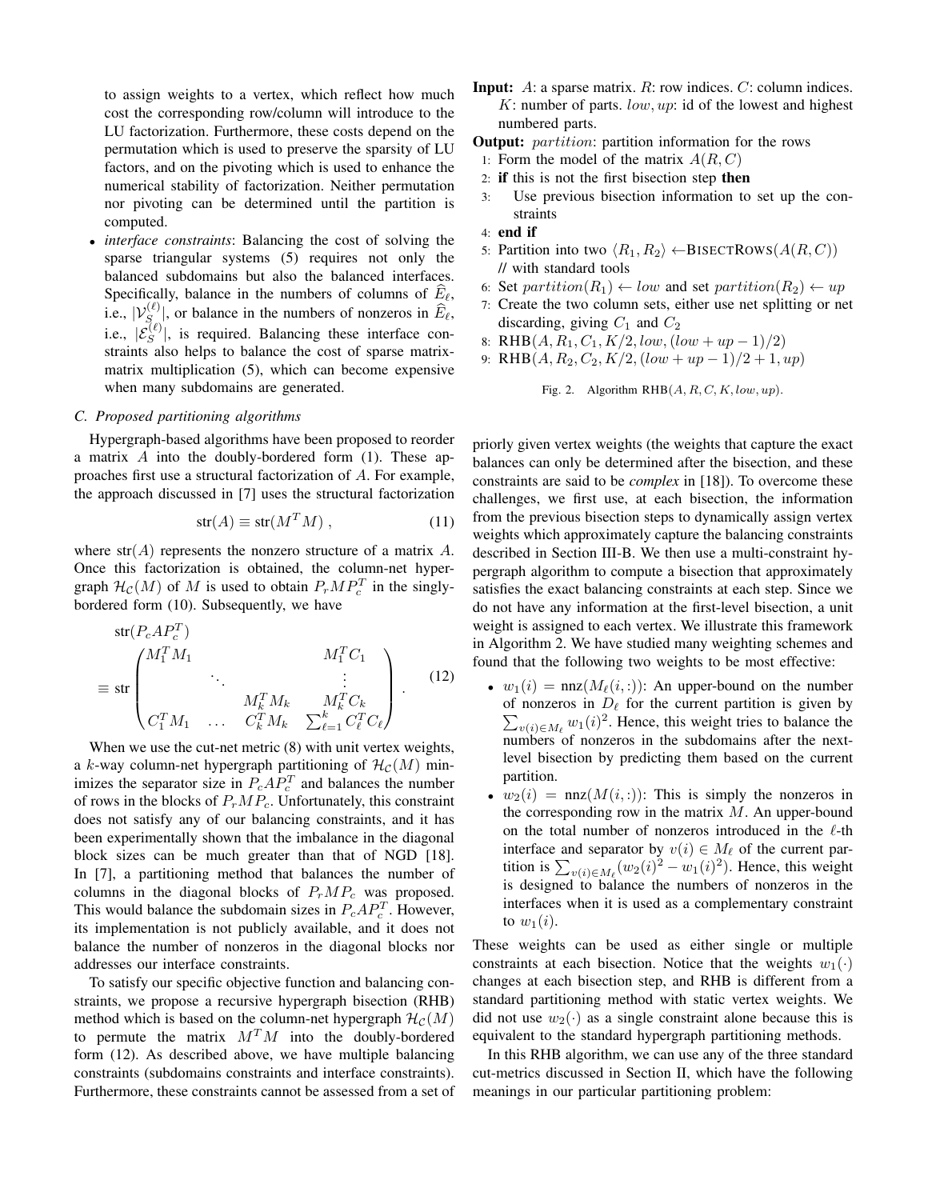to assign weights to a vertex, which reflect how much cost the corresponding row/column will introduce to the LU factorization. Furthermore, these costs depend on the permutation which is used to preserve the sparsity of LU factors, and on the pivoting which is used to enhance the numerical stability of factorization. Neither permutation nor pivoting can be determined until the partition is computed.

• *interface constraints*: Balancing the cost of solving the sparse triangular systems (5) requires not only the balanced subdomains but also the balanced interfaces. Specifically, balance in the numbers of columns of  $\widehat{E}_\ell$ , i.e.,  $|V_{S(\ell)}^{(\ell)}|$ , or balance in the numbers of nonzeros in  $\widehat{E}_{\ell}$ , i.e.,  $|\mathcal{E}_S^{(\ell)}|$ , is required. Balancing these interface constraints also helps to balance the cost of sparse matrixmatrix multiplication (5), which can become expensive when many subdomains are generated.

## *C. Proposed partitioning algorithms*

Hypergraph-based algorithms have been proposed to reorder a matrix  $A$  into the doubly-bordered form (1). These approaches first use a structural factorization of A. For example, the approach discussed in [7] uses the structural factorization

$$
str(A) \equiv str(M^T M) , \qquad (11)
$$

where  $str(A)$  represents the nonzero structure of a matrix A. Once this factorization is obtained, the column-net hypergraph  $\mathcal{H}_{\mathcal{C}}(M)$  of M is used to obtain  $P_rMP_c^T$  in the singlybordered form (10). Subsequently, we have

$$
\text{str}(P_c A P_c^T)
$$
\n
$$
\equiv \text{str}\begin{pmatrix} M_1^T M_1 & & M_1^T C_1 \\ & \ddots & & \vdots \\ & M_k^T M_k & M_k^T C_k \\ C_1^T M_1 & \dots & C_k^T M_k & \sum_{\ell=1}^k C_\ell^T C_\ell \end{pmatrix} . \tag{12}
$$

When we use the cut-net metric (8) with unit vertex weights, a k-way column-net hypergraph partitioning of  $\mathcal{H}_{\mathcal{C}}(M)$  minimizes the separator size in  $P_cAP_c^T$  and balances the number of rows in the blocks of  $P_rMP_c$ . Unfortunately, this constraint does not satisfy any of our balancing constraints, and it has been experimentally shown that the imbalance in the diagonal block sizes can be much greater than that of NGD [18]. In [7], a partitioning method that balances the number of columns in the diagonal blocks of  $P_rMP_c$  was proposed. This would balance the subdomain sizes in  $P_cAP_c^T$ . However, its implementation is not publicly available, and it does not balance the number of nonzeros in the diagonal blocks nor addresses our interface constraints.

To satisfy our specific objective function and balancing constraints, we propose a recursive hypergraph bisection (RHB) method which is based on the column-net hypergraph  $\mathcal{H}_{\mathcal{C}}(M)$ to permute the matrix  $M<sup>T</sup>M$  into the doubly-bordered form (12). As described above, we have multiple balancing constraints (subdomains constraints and interface constraints). Furthermore, these constraints cannot be assessed from a set of

- **Input:**  $A$ : a sparse matrix.  $R$ : row indices.  $C$ : column indices.  $K:$  number of parts.  $low, up:$  id of the lowest and highest numbered parts.
- **Output:** *partition*: partition information for the rows
- 1: Form the model of the matrix  $A(R, C)$
- 2: if this is not the first bisection step then
- 3: Use previous bisection information to set up the constraints
- 4: end if
- 5: Partition into two  $\langle R_1, R_2 \rangle \leftarrow \text{BISECTRows}(A(R, C))$ // with standard tools
- 6: Set partition( $R_1$ )  $\leftarrow$  low and set partition( $R_2$ )  $\leftarrow$  up
- 7: Create the two column sets, either use net splitting or net discarding, giving  $C_1$  and  $C_2$
- 8: RHB $(A, R_1, C_1, K/2, low, (low + up 1)/2)$
- 9: RHB $(A, R_2, C_2, K/2, (low + up 1)/2 + 1, up)$

```
Fig. 2. Algorithm RHB(A, R, C, K, low, up).
```
priorly given vertex weights (the weights that capture the exact balances can only be determined after the bisection, and these constraints are said to be *complex* in [18]). To overcome these challenges, we first use, at each bisection, the information from the previous bisection steps to dynamically assign vertex weights which approximately capture the balancing constraints described in Section III-B. We then use a multi-constraint hypergraph algorithm to compute a bisection that approximately satisfies the exact balancing constraints at each step. Since we do not have any information at the first-level bisection, a unit weight is assigned to each vertex. We illustrate this framework in Algorithm 2. We have studied many weighting schemes and found that the following two weights to be most effective:

- $w_1(i) = \text{nnz}(M_\ell(i,:))$ : An upper-bound on the number of nonzeros in  $D_{\ell}$  for the current partition is given by  $\sum_{v(i) \in M_\ell} w_1(i)^2$ . Hence, this weight tries to balance the numbers of nonzeros in the subdomains after the nextlevel bisection by predicting them based on the current partition.
- $w_2(i) = \text{nnz}(M(i,:))$ : This is simply the nonzeros in the corresponding row in the matrix  $M$ . An upper-bound on the total number of nonzeros introduced in the  $\ell$ -th interface and separator by  $v(i) \in M_\ell$  of the current partition is  $\sum_{v(i) \in M_\ell} (w_2(i)^2 - w_1(i)^2)$ . Hence, this weight is designed to balance the numbers of nonzeros in the interfaces when it is used as a complementary constraint to  $w_1(i)$ .

These weights can be used as either single or multiple constraints at each bisection. Notice that the weights  $w_1(\cdot)$ changes at each bisection step, and RHB is different from a standard partitioning method with static vertex weights. We did not use  $w_2(\cdot)$  as a single constraint alone because this is equivalent to the standard hypergraph partitioning methods.

In this RHB algorithm, we can use any of the three standard cut-metrics discussed in Section II, which have the following meanings in our particular partitioning problem: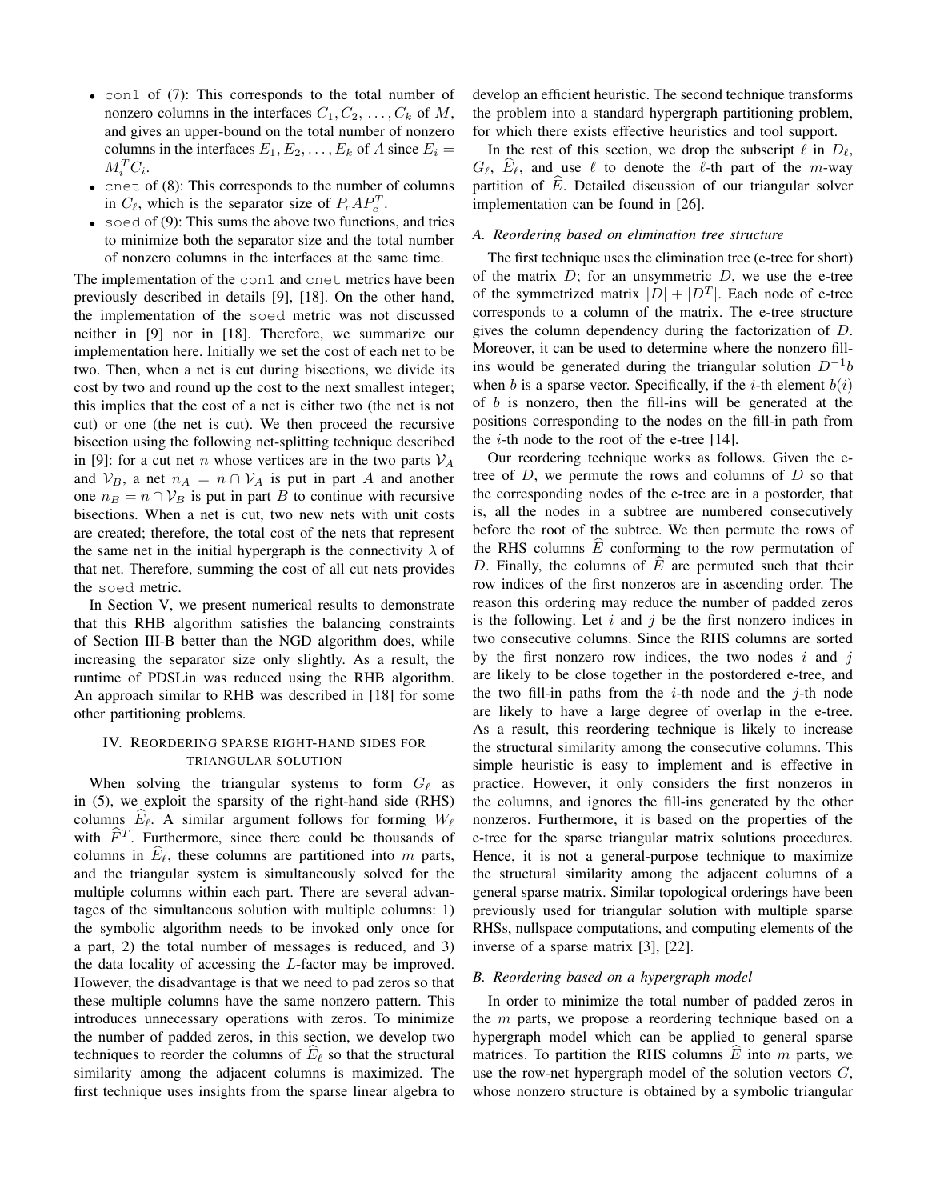- con1 of (7): This corresponds to the total number of nonzero columns in the interfaces  $C_1, C_2, \ldots, C_k$  of M, and gives an upper-bound on the total number of nonzero columns in the interfaces  $E_1, E_2, \ldots, E_k$  of A since  $E_i =$  $M_i^T C_i$ .
- cnet of (8): This corresponds to the number of columns in  $C_{\ell}$ , which is the separator size of  $P_cAP_c^T$ .
- soed of  $(9)$ : This sums the above two functions, and tries to minimize both the separator size and the total number of nonzero columns in the interfaces at the same time.

The implementation of the con1 and cnet metrics have been previously described in details [9], [18]. On the other hand, the implementation of the soed metric was not discussed neither in [9] nor in [18]. Therefore, we summarize our implementation here. Initially we set the cost of each net to be two. Then, when a net is cut during bisections, we divide its cost by two and round up the cost to the next smallest integer; this implies that the cost of a net is either two (the net is not cut) or one (the net is cut). We then proceed the recursive bisection using the following net-splitting technique described in [9]: for a cut net *n* whose vertices are in the two parts  $V_A$ and  $\mathcal{V}_B$ , a net  $n_A = n \cap \mathcal{V}_A$  is put in part A and another one  $n_B = n \cap V_B$  is put in part B to continue with recursive bisections. When a net is cut, two new nets with unit costs are created; therefore, the total cost of the nets that represent the same net in the initial hypergraph is the connectivity  $\lambda$  of that net. Therefore, summing the cost of all cut nets provides the soed metric.

In Section V, we present numerical results to demonstrate that this RHB algorithm satisfies the balancing constraints of Section III-B better than the NGD algorithm does, while increasing the separator size only slightly. As a result, the runtime of PDSLin was reduced using the RHB algorithm. An approach similar to RHB was described in [18] for some other partitioning problems.

#### IV. REORDERING SPARSE RIGHT-HAND SIDES FOR TRIANGULAR SOLUTION

When solving the triangular systems to form  $G_\ell$  as in (5), we exploit the sparsity of the right-hand side (RHS) columns  $E_\ell$ . A similar argument follows for forming  $W_\ell$ with  $\widehat{F}^T$ . Furthermore, since there could be thousands of columns in  $E_\ell$ , these columns are partitioned into m parts, and the triangular system is simultaneously solved for the multiple columns within each part. There are several advantages of the simultaneous solution with multiple columns: 1) the symbolic algorithm needs to be invoked only once for a part, 2) the total number of messages is reduced, and 3) the data locality of accessing the L-factor may be improved. However, the disadvantage is that we need to pad zeros so that these multiple columns have the same nonzero pattern. This introduces unnecessary operations with zeros. To minimize the number of padded zeros, in this section, we develop two techniques to reorder the columns of  $E_\ell$  so that the structural similarity among the adjacent columns is maximized. The first technique uses insights from the sparse linear algebra to develop an efficient heuristic. The second technique transforms the problem into a standard hypergraph partitioning problem, for which there exists effective heuristics and tool support.

In the rest of this section, we drop the subscript  $\ell$  in  $D_{\ell}$ ,  $G_{\ell}$ ,  $E_{\ell}$ , and use  $\ell$  to denote the  $\ell$ -th part of the m-way partition of  $\hat{E}$ . Detailed discussion of our triangular solver implementation can be found in [26].

#### *A. Reordering based on elimination tree structure*

The first technique uses the elimination tree (e-tree for short) of the matrix  $D$ ; for an unsymmetric  $D$ , we use the e-tree of the symmetrized matrix  $|D| + |D<sup>T</sup>|$ . Each node of e-tree corresponds to a column of the matrix. The e-tree structure gives the column dependency during the factorization of D. Moreover, it can be used to determine where the nonzero fillins would be generated during the triangular solution  $D^{-1}b$ when b is a sparse vector. Specifically, if the *i*-th element  $b(i)$ of  $b$  is nonzero, then the fill-ins will be generated at the positions corresponding to the nodes on the fill-in path from the  $i$ -th node to the root of the e-tree [14].

Our reordering technique works as follows. Given the etree of  $D$ , we permute the rows and columns of  $D$  so that the corresponding nodes of the e-tree are in a postorder, that is, all the nodes in a subtree are numbered consecutively before the root of the subtree. We then permute the rows of the RHS columns  $\hat{E}$  conforming to the row permutation of D. Finally, the columns of  $\overline{E}$  are permuted such that their row indices of the first nonzeros are in ascending order. The reason this ordering may reduce the number of padded zeros is the following. Let  $i$  and  $j$  be the first nonzero indices in two consecutive columns. Since the RHS columns are sorted by the first nonzero row indices, the two nodes  $i$  and  $j$ are likely to be close together in the postordered e-tree, and the two fill-in paths from the  $i$ -th node and the  $j$ -th node are likely to have a large degree of overlap in the e-tree. As a result, this reordering technique is likely to increase the structural similarity among the consecutive columns. This simple heuristic is easy to implement and is effective in practice. However, it only considers the first nonzeros in the columns, and ignores the fill-ins generated by the other nonzeros. Furthermore, it is based on the properties of the e-tree for the sparse triangular matrix solutions procedures. Hence, it is not a general-purpose technique to maximize the structural similarity among the adjacent columns of a general sparse matrix. Similar topological orderings have been previously used for triangular solution with multiple sparse RHSs, nullspace computations, and computing elements of the inverse of a sparse matrix [3], [22].

## *B. Reordering based on a hypergraph model*

In order to minimize the total number of padded zeros in the m parts, we propose a reordering technique based on a hypergraph model which can be applied to general sparse matrices. To partition the RHS columns  $E$  into  $m$  parts, we use the row-net hypergraph model of the solution vectors  $G$ , whose nonzero structure is obtained by a symbolic triangular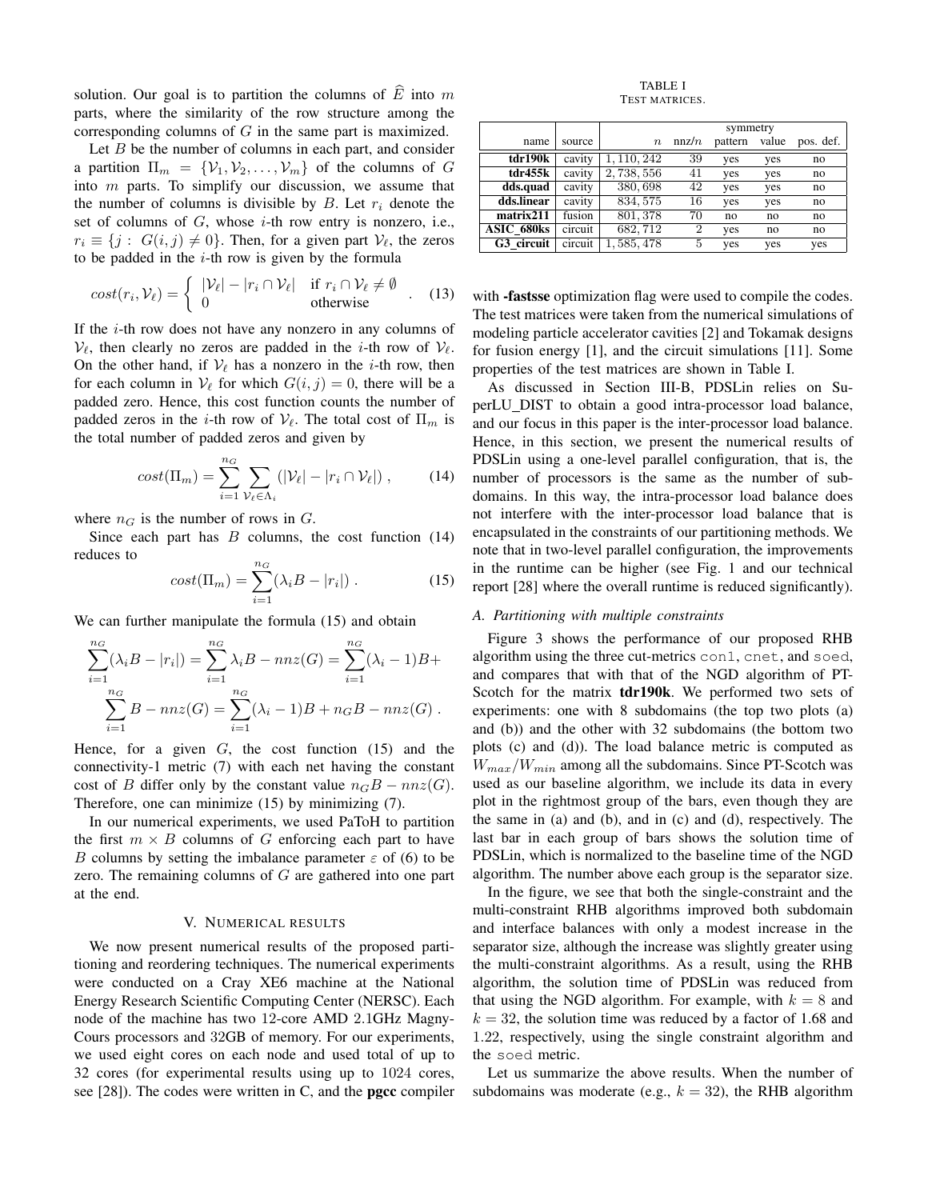solution. Our goal is to partition the columns of  $\hat{E}$  into m parts, where the similarity of the row structure among the corresponding columns of G in the same part is maximized.

Let  $B$  be the number of columns in each part, and consider a partition  $\Pi_m = \{V_1, V_2, \ldots, V_m\}$  of the columns of G into  $m$  parts. To simplify our discussion, we assume that the number of columns is divisible by  $B$ . Let  $r_i$  denote the set of columns of  $G$ , whose  $i$ -th row entry is nonzero, i.e.,  $r_i \equiv \{j : G(i, j) \neq 0\}$ . Then, for a given part  $\mathcal{V}_{\ell}$ , the zeros to be padded in the  $i$ -th row is given by the formula

$$
cost(r_i, V_\ell) = \begin{cases} |V_\ell| - |r_i \cap V_\ell| & \text{if } r_i \cap V_\ell \neq \emptyset \\ 0 & \text{otherwise} \end{cases} . \quad (13)
$$

If the  $i$ -th row does not have any nonzero in any columns of  $V_{\ell}$ , then clearly no zeros are padded in the *i*-th row of  $V_{\ell}$ . On the other hand, if  $V_\ell$  has a nonzero in the *i*-th row, then for each column in  $V_{\ell}$  for which  $G(i, j) = 0$ , there will be a padded zero. Hence, this cost function counts the number of padded zeros in the *i*-th row of  $V_\ell$ . The total cost of  $\Pi_m$  is the total number of padded zeros and given by

$$
cost(\Pi_m) = \sum_{i=1}^{n_G} \sum_{\mathcal{V}_{\ell} \in \Lambda_i} (|\mathcal{V}_{\ell}| - |r_i \cap \mathcal{V}_{\ell}|) , \qquad (14)
$$

where  $n<sub>G</sub>$  is the number of rows in  $G$ .

Since each part has  $B$  columns, the cost function  $(14)$ reduces to

$$
cost(\Pi_m) = \sum_{i=1}^{n_G} (\lambda_i B - |r_i|) . \qquad (15)
$$

We can further manipulate the formula  $(15)$  and obtain

$$
\sum_{i=1}^{n_G} (\lambda_i B - |r_i|) = \sum_{i=1}^{n_G} \lambda_i B - nnz(G) = \sum_{i=1}^{n_G} (\lambda_i - 1)B + \sum_{i=1}^{n_G} B - nnz(G) = \sum_{i=1}^{n_G} (\lambda_i - 1)B + n_G B - nnz(G).
$$

Hence, for a given  $G$ , the cost function  $(15)$  and the connectivity-1 metric (7) with each net having the constant cost of B differ only by the constant value  $n_G B - nnz(G)$ . Therefore, one can minimize (15) by minimizing (7).

In our numerical experiments, we used PaToH to partition the first  $m \times B$  columns of G enforcing each part to have B columns by setting the imbalance parameter  $\varepsilon$  of (6) to be zero. The remaining columns of  $G$  are gathered into one part at the end.

## V. NUMERICAL RESULTS

We now present numerical results of the proposed partitioning and reordering techniques. The numerical experiments were conducted on a Cray XE6 machine at the National Energy Research Scientific Computing Center (NERSC). Each node of the machine has two 12-core AMD 2.1GHz Magny-Cours processors and 32GB of memory. For our experiments, we used eight cores on each node and used total of up to 32 cores (for experimental results using up to 1024 cores, see [28]). The codes were written in C, and the **pgcc** compiler

TABLE I TEST MATRICES.

|            |         | symmetry    |                |         |       |           |  |
|------------|---------|-------------|----------------|---------|-------|-----------|--|
| name       | source  | $\, n$      | nnz/n          | pattern | value | pos. def. |  |
| tdr190k    | cavity  | 1, 110, 242 | 39             | yes     | yes   | no        |  |
| tdr455k    | cavity  | 2,738,556   | 41             | yes     | yes   | no        |  |
| dds.quad   | cavity  | 380,698     | 42             | yes     | yes   | no        |  |
| dds.linear | cavity  | 834, 575    | 16             | yes     | yes   | no        |  |
| matrix211  | fusion  | 801, 378    | 70             | no      | no    | no        |  |
| ASIC 680ks | circuit | 682,712     | $\overline{2}$ | yes     | no    | no        |  |
| G3 circuit | circuit | 1,585,478   | 5              | yes     | yes   | yes       |  |

with **-fastsse** optimization flag were used to compile the codes. The test matrices were taken from the numerical simulations of modeling particle accelerator cavities [2] and Tokamak designs for fusion energy [1], and the circuit simulations [11]. Some properties of the test matrices are shown in Table I.

As discussed in Section III-B, PDSLin relies on SuperLU DIST to obtain a good intra-processor load balance, and our focus in this paper is the inter-processor load balance. Hence, in this section, we present the numerical results of PDSLin using a one-level parallel configuration, that is, the number of processors is the same as the number of subdomains. In this way, the intra-processor load balance does not interfere with the inter-processor load balance that is encapsulated in the constraints of our partitioning methods. We note that in two-level parallel configuration, the improvements in the runtime can be higher (see Fig. 1 and our technical report [28] where the overall runtime is reduced significantly).

## *A. Partitioning with multiple constraints*

Figure 3 shows the performance of our proposed RHB algorithm using the three cut-metrics con1, cnet, and soed, and compares that with that of the NGD algorithm of PT-Scotch for the matrix tdr190k. We performed two sets of experiments: one with 8 subdomains (the top two plots (a) and (b)) and the other with 32 subdomains (the bottom two plots (c) and (d)). The load balance metric is computed as  $W_{max}/W_{min}$  among all the subdomains. Since PT-Scotch was used as our baseline algorithm, we include its data in every plot in the rightmost group of the bars, even though they are the same in (a) and (b), and in (c) and (d), respectively. The last bar in each group of bars shows the solution time of PDSLin, which is normalized to the baseline time of the NGD algorithm. The number above each group is the separator size.

In the figure, we see that both the single-constraint and the multi-constraint RHB algorithms improved both subdomain and interface balances with only a modest increase in the separator size, although the increase was slightly greater using the multi-constraint algorithms. As a result, using the RHB algorithm, the solution time of PDSLin was reduced from that using the NGD algorithm. For example, with  $k = 8$  and  $k = 32$ , the solution time was reduced by a factor of 1.68 and 1.22, respectively, using the single constraint algorithm and the soed metric.

Let us summarize the above results. When the number of subdomains was moderate (e.g.,  $k = 32$ ), the RHB algorithm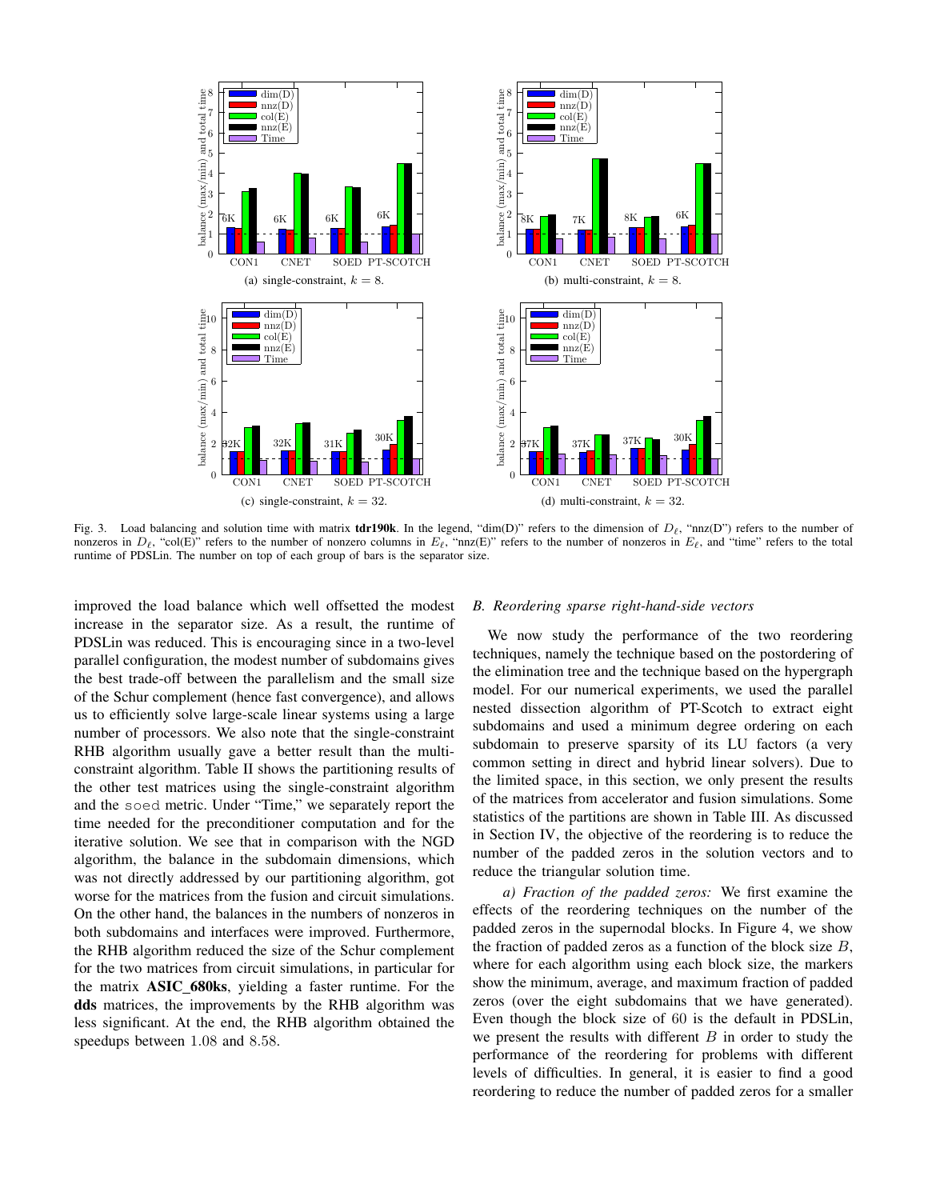

Fig. 3. Load balancing and solution time with matrix **tdr190k**. In the legend, "dim(D)" refers to the dimension of  $D_\ell$ , "nnz(D") refers to the number of nonzeros in  $D_\ell$ , "col(E)" refers to the number of nonzero columns in  $E_\ell$ , "nnz(E)" refers to the number of nonzeros in  $E_\ell$ , and "time" refers to the total runtime of PDSLin. The number on top of each group of bars is the separator size.

improved the load balance which well offsetted the modest increase in the separator size. As a result, the runtime of PDSLin was reduced. This is encouraging since in a two-level parallel configuration, the modest number of subdomains gives the best trade-off between the parallelism and the small size of the Schur complement (hence fast convergence), and allows us to efficiently solve large-scale linear systems using a large number of processors. We also note that the single-constraint RHB algorithm usually gave a better result than the multiconstraint algorithm. Table II shows the partitioning results of the other test matrices using the single-constraint algorithm and the soed metric. Under "Time," we separately report the time needed for the preconditioner computation and for the iterative solution. We see that in comparison with the NGD algorithm, the balance in the subdomain dimensions, which was not directly addressed by our partitioning algorithm, got worse for the matrices from the fusion and circuit simulations. On the other hand, the balances in the numbers of nonzeros in both subdomains and interfaces were improved. Furthermore, the RHB algorithm reduced the size of the Schur complement for the two matrices from circuit simulations, in particular for the matrix ASIC 680ks, yielding a faster runtime. For the dds matrices, the improvements by the RHB algorithm was less significant. At the end, the RHB algorithm obtained the speedups between 1.08 and 8.58.

#### *B. Reordering sparse right-hand-side vectors*

We now study the performance of the two reordering techniques, namely the technique based on the postordering of the elimination tree and the technique based on the hypergraph model. For our numerical experiments, we used the parallel nested dissection algorithm of PT-Scotch to extract eight subdomains and used a minimum degree ordering on each subdomain to preserve sparsity of its LU factors (a very common setting in direct and hybrid linear solvers). Due to the limited space, in this section, we only present the results of the matrices from accelerator and fusion simulations. Some statistics of the partitions are shown in Table III. As discussed in Section IV, the objective of the reordering is to reduce the number of the padded zeros in the solution vectors and to reduce the triangular solution time.

*a) Fraction of the padded zeros:* We first examine the effects of the reordering techniques on the number of the padded zeros in the supernodal blocks. In Figure 4, we show the fraction of padded zeros as a function of the block size  $B$ , where for each algorithm using each block size, the markers show the minimum, average, and maximum fraction of padded zeros (over the eight subdomains that we have generated). Even though the block size of 60 is the default in PDSLin, we present the results with different  $B$  in order to study the performance of the reordering for problems with different levels of difficulties. In general, it is easier to find a good reordering to reduce the number of padded zeros for a smaller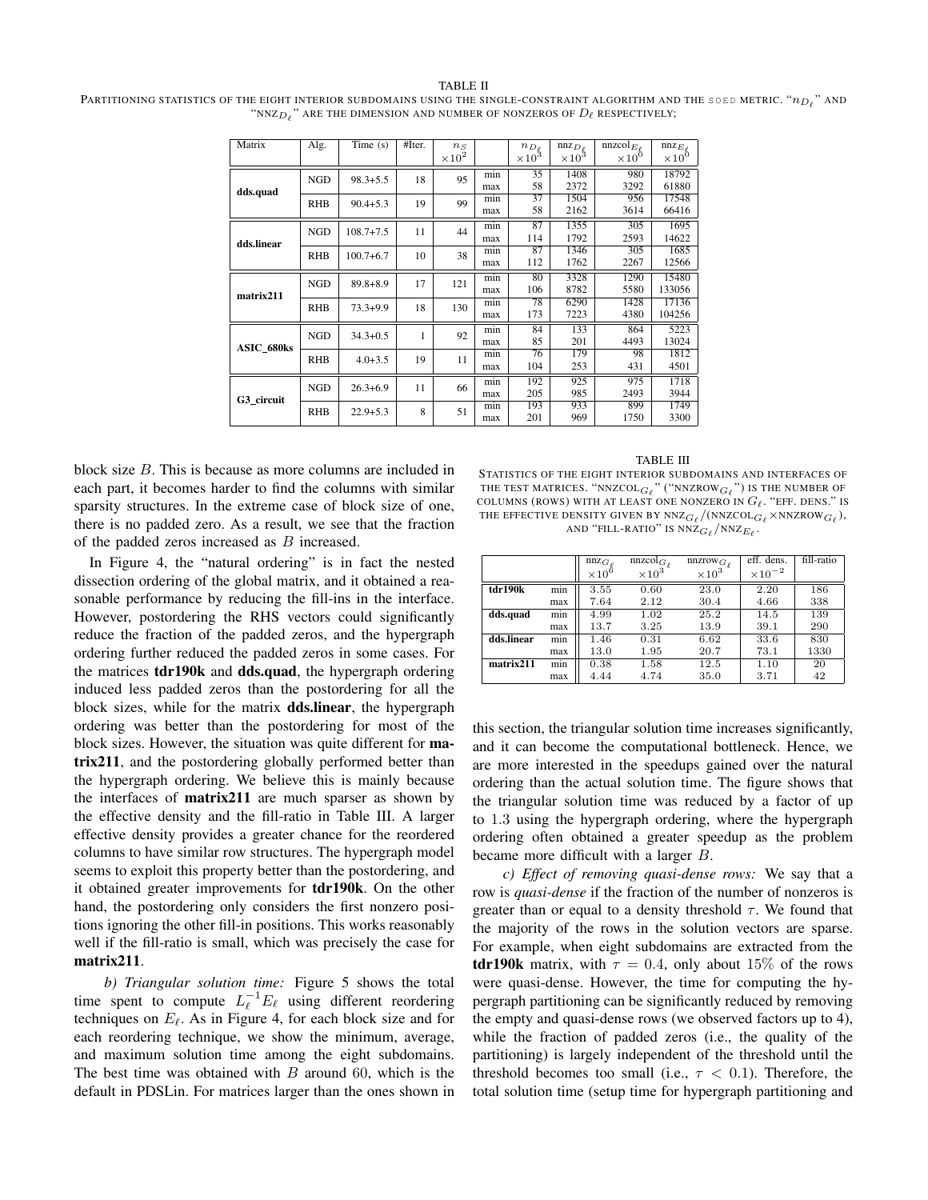#### TABLE II Partitioning statistics of the eight interior subdomains using the single-constraint algorithm and the soed metric. " $n_{D_\ell}$ " and "NNZ $_{D\ell}$  " are the dimension and number of nonzeros of  $D_\ell$  respectively;

| Matrix            | Alg.       | $\overline{\text{Time}}$ (s) | #Iter. | $n_S$           |     | $n_{D_\ell}$  | $nnz_{D\rho}$ | nnzcol $_{E_e}$ | $nnz_{E\rho}$   |
|-------------------|------------|------------------------------|--------|-----------------|-----|---------------|---------------|-----------------|-----------------|
|                   |            |                              |        | $\times 10^{2}$ |     | $\times 10^3$ | $\times 10^3$ | $\times 10^{0}$ | $\times 10^{0}$ |
|                   | <b>NGD</b> | $98.3 + 5.5$                 | 18     | 95              | min | 35            | 1408          | 980             | 18792           |
| dds.quad          |            |                              |        |                 | max | 58            | 2372          | 3292            | 61880           |
|                   | <b>RHB</b> | $90.4 + 5.3$                 | 19     | 99              | min | 37            | 1504          | 956             | 17548           |
|                   |            |                              |        |                 | max | 58            | 2162          | 3614            | 66416           |
| dds.linear        | <b>NGD</b> | $108.7 + 7.5$                | 11     | 44              | min | 87            | 1355          | 305             | 1695            |
|                   |            |                              |        |                 | max | 114           | 1792          | 2593            | 14622           |
|                   | <b>RHB</b> | $100.7 + 6.7$                | 10     | 38              | min | 87            | 1346          | 305             | 1685            |
|                   |            |                              |        |                 | max | 112           | 1762          | 2267            | 12566           |
| matrix211         | <b>NGD</b> | $89.8 + 8.9$                 | 17     | 121             | min | 80            | 3328          | 1290            | 15480           |
|                   |            |                              |        |                 | max | 106           | 8782          | 5580            | 133056          |
|                   | <b>RHB</b> | $73.3 + 9.9$                 | 18     | 130             | min | 78            | 6290          | 1428            | 17136           |
|                   |            |                              |        |                 | max | 173           | 7223          | 4380            | 104256          |
| <b>ASIC 680ks</b> | <b>NGD</b> | $34.3 + 0.5$                 | 1      | 92              | min | 84            | 133           | 864             | 5223            |
|                   |            |                              |        |                 | max | 85            | 201           | 4493            | 13024           |
|                   | <b>RHB</b> | $4.0 + 3.5$                  | 19     | 11              | min | 76            | 179           | 98              | 1812            |
|                   |            |                              |        |                 | max | 104           | 253           | 431             | 4501            |
| G3 circuit        | <b>NGD</b> | $26.3 + 6.9$                 | 11     | 66              | min | 192           | 925           | 975             | 1718            |
|                   |            |                              |        |                 | max | 205           | 985           | 2493            | 3944            |
|                   | <b>RHB</b> | $22.9 + 5.3$                 | 8      | 51              | min | 193           | 933           | 899             | 1749            |
|                   |            |                              |        |                 | max | 201           | 969           | 1750            | 3300            |

block size B. This is because as more columns are included in each part, it becomes harder to find the columns with similar sparsity structures. In the extreme case of block size of one, there is no padded zero. As a result, we see that the fraction of the padded zeros increased as B increased.

In Figure 4, the "natural ordering" is in fact the nested dissection ordering of the global matrix, and it obtained a reasonable performance by reducing the fill-ins in the interface. However, postordering the RHS vectors could significantly reduce the fraction of the padded zeros, and the hypergraph ordering further reduced the padded zeros in some cases. For the matrices tdr190k and dds.quad, the hypergraph ordering induced less padded zeros than the postordering for all the block sizes, while for the matrix dds.linear, the hypergraph ordering was better than the postordering for most of the block sizes. However, the situation was quite different for matrix211, and the postordering globally performed better than the hypergraph ordering. We believe this is mainly because the interfaces of matrix211 are much sparser as shown by the effective density and the fill-ratio in Table III. A larger effective density provides a greater chance for the reordered columns to have similar row structures. The hypergraph model seems to exploit this property better than the postordering, and it obtained greater improvements for tdr190k. On the other hand, the postordering only considers the first nonzero positions ignoring the other fill-in positions. This works reasonably well if the fill-ratio is small, which was precisely the case for matrix211.

*b) Triangular solution time:* Figure 5 shows the total time spent to compute  $L_{\ell}^{-1}E_{\ell}$  using different reordering techniques on  $E_\ell$ . As in Figure 4, for each block size and for each reordering technique, we show the minimum, average, and maximum solution time among the eight subdomains. The best time was obtained with  $B$  around 60, which is the default in PDSLin. For matrices larger than the ones shown in

TABLE III

STATISTICS OF THE EIGHT INTERIOR SUBDOMAINS AND INTERFACES OF THE TEST MATRICES. "NNZCOL $_{G_\ell}$ " ("NNZROW $_{G_\ell}$ ") is the number of COLUMNS (ROWS) WITH AT LEAST ONE NONZERO IN  $G_{\ell}$ . "EFF. DENS." IS THE EFFECTIVE DENSITY GIVEN BY NNZ $_{G_\ell}/$ (NNZCOL $_{G_\ell}$ ×NNZROW $_{G_\ell}$ ), AND "FILL-RATIO" IS  $\bar{\text{NNZ}}_{G_\ell}/\text{NNZ}_{E_\ell}$  .

|            |     | nnz <sub>G</sub> | nnzcol <sub>G</sub> | $nnzrow_{G_{\ell}}$ | eff. dens.       | fill-ratio |
|------------|-----|------------------|---------------------|---------------------|------------------|------------|
|            |     | $\times 10^6$    | $\times 10^3$       | $\times 10^3$       | $\times 10^{-2}$ |            |
| tdr190k    | min | 3.55             | 0.60                | 23.0                | 2.20             | 186        |
|            | max | 7.64             | 2.12                | 30.4                | 4.66             | 338        |
| dds.quad   | min | 4.99             | 1.02                | 25.2                | 14.5             | 139        |
|            | max | 13.7             | 3.25                | 13.9                | 39.1             | 290        |
| dds.linear | min | 1.46             | 0.31                | 6.62                | 33.6             | 830        |
|            | max | 13.0             | 1.95                | 20.7                | 73.1             | 1330       |
| matrix211  | min | 0.38             | 1.58                | 12.5                | 1.10             | 20         |
|            | max | 4.44             | 4.74                | 35.0                | 3.71             | 42         |

this section, the triangular solution time increases significantly, and it can become the computational bottleneck. Hence, we are more interested in the speedups gained over the natural ordering than the actual solution time. The figure shows that the triangular solution time was reduced by a factor of up to 1.3 using the hypergraph ordering, where the hypergraph ordering often obtained a greater speedup as the problem became more difficult with a larger B.

*c) Effect of removing quasi-dense rows:* We say that a row is *quasi-dense* if the fraction of the number of nonzeros is greater than or equal to a density threshold  $\tau$ . We found that the majority of the rows in the solution vectors are sparse. For example, when eight subdomains are extracted from the **tdr190k** matrix, with  $\tau = 0.4$ , only about 15% of the rows were quasi-dense. However, the time for computing the hypergraph partitioning can be significantly reduced by removing the empty and quasi-dense rows (we observed factors up to 4), while the fraction of padded zeros (i.e., the quality of the partitioning) is largely independent of the threshold until the threshold becomes too small (i.e.,  $\tau$  < 0.1). Therefore, the total solution time (setup time for hypergraph partitioning and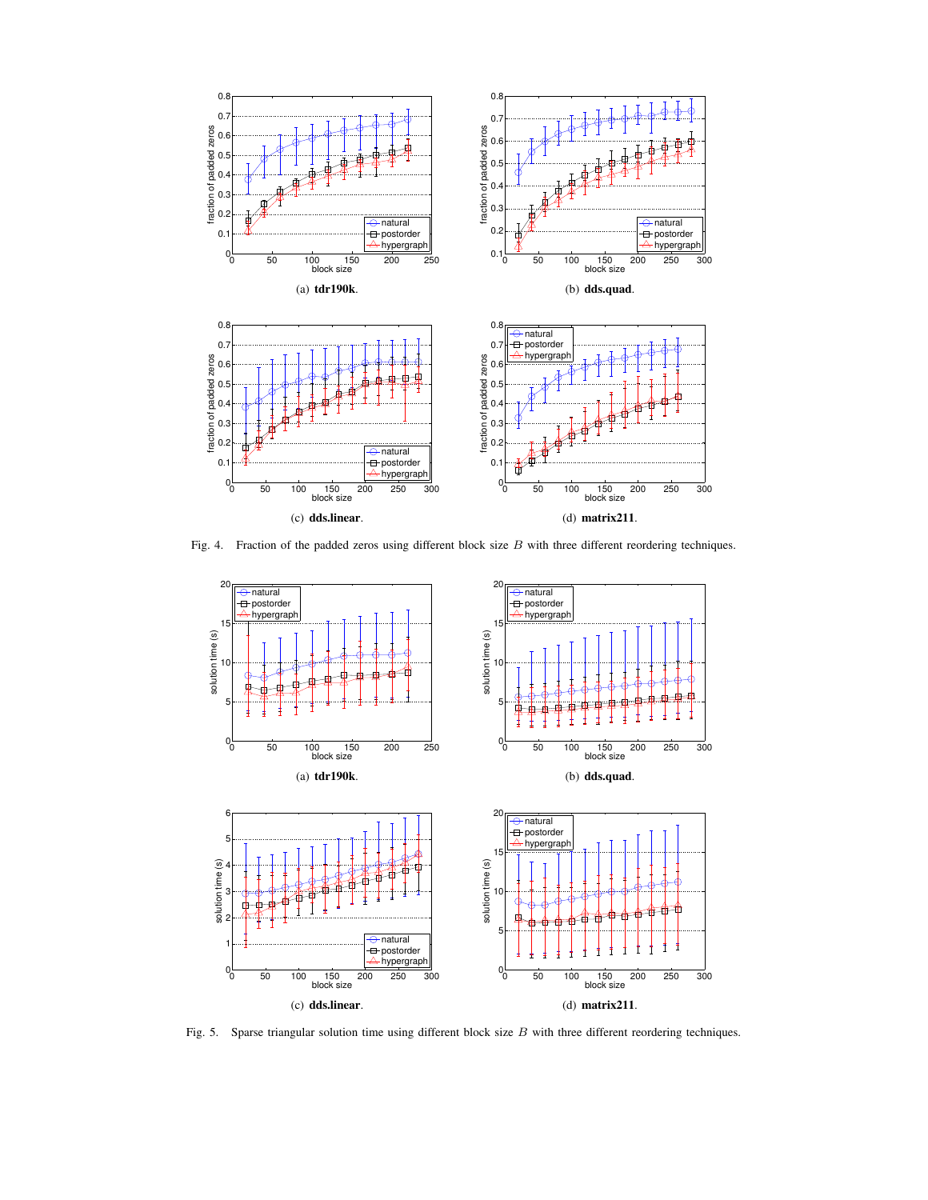

Fig. 4. Fraction of the padded zeros using different block size B with three different reordering techniques.



Fig. 5. Sparse triangular solution time using different block size B with three different reordering techniques.